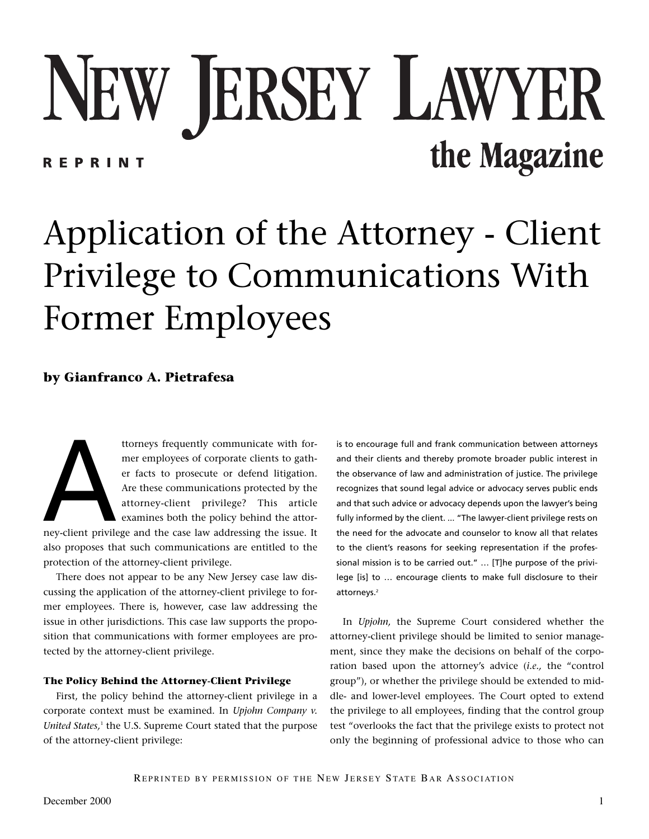# NEW JERSEY LAWYER the Magazine **REPRINT**

# Application of the Attorney - Client Privilege to Communications With Former Employees

## **by Gianfranco A. Pietrafesa**

ttorneys frequently communicate with for-<br>mer employees of corporate clients to gather<br>facts to prosecute or defend litigation.<br>Are these communications protected by the<br>attorney-client privilege? This article<br>examines bot mer employees of corporate clients to gather facts to prosecute or defend litigation. Are these communications protected by the attorney-client privilege? This article examines both the policy behind the attor-

ney-client privilege and the case law addressing the issue. It also proposes that such communications are entitled to the protection of the attorney-client privilege.

There does not appear to be any New Jersey case law discussing the application of the attorney-client privilege to former employees. There is, however, case law addressing the issue in other jurisdictions. This case law supports the proposition that communications with former employees are protected by the attorney-client privilege.

#### **The Policy Behind the Attorney-Client Privilege**

First, the policy behind the attorney-client privilege in a corporate context must be examined. In *Upjohn Company v. United States,<sup>1</sup>* the U.S. Supreme Court stated that the purpose of the attorney-client privilege:

is to encourage full and frank communication between attorneys and their clients and thereby promote broader public interest in the observance of law and administration of justice. The privilege recognizes that sound legal advice or advocacy serves public ends and that such advice or advocacy depends upon the lawyer's being fully informed by the client. ... "The lawyer-client privilege rests on the need for the advocate and counselor to know all that relates to the client's reasons for seeking representation if the professional mission is to be carried out." … [T]he purpose of the privilege [is] to … encourage clients to make full disclosure to their attorneys.<sup>2</sup>

In *Upjohn,* the Supreme Court considered whether the attorney-client privilege should be limited to senior management, since they make the decisions on behalf of the corporation based upon the attorney's advice (*i.e.,* the "control group"), or whether the privilege should be extended to middle- and lower-level employees. The Court opted to extend the privilege to all employees, finding that the control group test "overlooks the fact that the privilege exists to protect not only the beginning of professional advice to those who can

REPRINTED BY PERMISSION OF THE NEW JERSEY STATE BAR ASSOCIATION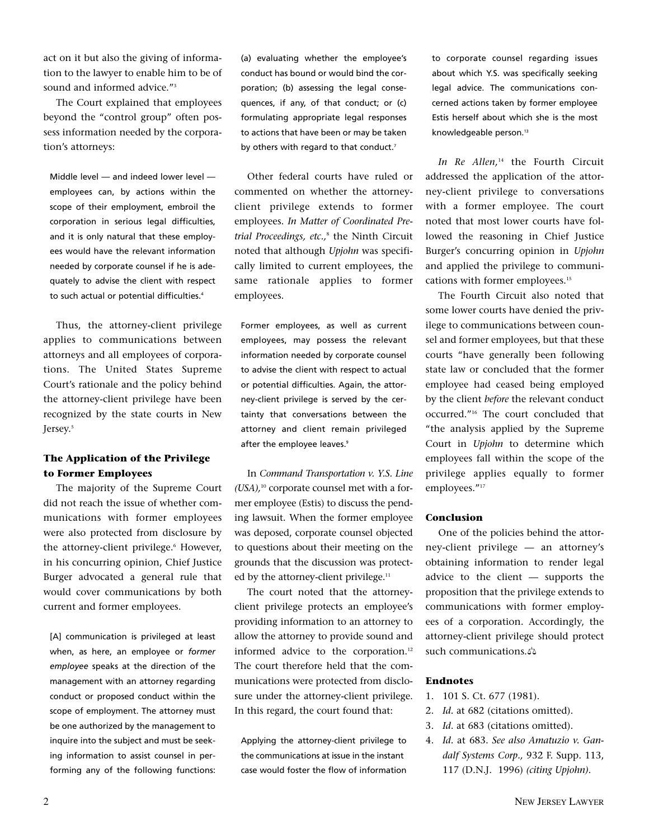act on it but also the giving of information to the lawyer to enable him to be of sound and informed advice."3

The Court explained that employees beyond the "control group" often possess information needed by the corporation's attorneys:

Middle level — and indeed lower level employees can, by actions within the scope of their employment, embroil the corporation in serious legal difficulties, and it is only natural that these employees would have the relevant information needed by corporate counsel if he is adequately to advise the client with respect to such actual or potential difficulties.<sup>4</sup>

Thus, the attorney-client privilege applies to communications between attorneys and all employees of corporations. The United States Supreme Court's rationale and the policy behind the attorney-client privilege have been recognized by the state courts in New Jersey.<sup>5</sup>

### **The Application of the Privilege to Former Employees**

The majority of the Supreme Court did not reach the issue of whether communications with former employees were also protected from disclosure by the attorney-client privilege.<sup>6</sup> However, in his concurring opinion, Chief Justice Burger advocated a general rule that would cover communications by both current and former employees.

[A] communication is privileged at least when, as here, an employee or *former employee* speaks at the direction of the management with an attorney regarding conduct or proposed conduct within the scope of employment. The attorney must be one authorized by the management to inquire into the subject and must be seeking information to assist counsel in performing any of the following functions:

(a) evaluating whether the employee's conduct has bound or would bind the corporation; (b) assessing the legal consequences, if any, of that conduct; or (c) formulating appropriate legal responses to actions that have been or may be taken by others with regard to that conduct.<sup>7</sup>

Other federal courts have ruled or commented on whether the attorneyclient privilege extends to former employees. *In Matter of Coordinated Pretrial Proceedings, etc.,*<sup>8</sup> the Ninth Circuit noted that although *Upjohn* was specifically limited to current employees, the same rationale applies to former employees.

Former employees, as well as current employees, may possess the relevant information needed by corporate counsel to advise the client with respect to actual or potential difficulties. Again, the attorney-client privilege is served by the certainty that conversations between the attorney and client remain privileged after the employee leaves.<sup>9</sup>

In *Command Transportation v. Y.S. Line (USA),*<sup>10</sup> corporate counsel met with a former employee (Estis) to discuss the pending lawsuit. When the former employee was deposed, corporate counsel objected to questions about their meeting on the grounds that the discussion was protected by the attorney-client privilege.<sup>11</sup>

The court noted that the attorneyclient privilege protects an employee's providing information to an attorney to allow the attorney to provide sound and informed advice to the corporation.<sup>12</sup> The court therefore held that the communications were protected from disclosure under the attorney-client privilege. In this regard, the court found that:

Applying the attorney-client privilege to the communications at issue in the instant case would foster the flow of information

to corporate counsel regarding issues about which Y.S. was specifically seeking legal advice. The communications concerned actions taken by former employee Estis herself about which she is the most knowledgeable person.<sup>13</sup>

In Re Allen,<sup>14</sup> the Fourth Circuit addressed the application of the attorney-client privilege to conversations with a former employee. The court noted that most lower courts have followed the reasoning in Chief Justice Burger's concurring opinion in *Upjohn* and applied the privilege to communications with former employees.<sup>15</sup>

The Fourth Circuit also noted that some lower courts have denied the privilege to communications between counsel and former employees, but that these courts "have generally been following state law or concluded that the former employee had ceased being employed by the client *before* the relevant conduct occurred."16 The court concluded that "the analysis applied by the Supreme Court in *Upjohn* to determine which employees fall within the scope of the privilege applies equally to former employees."<sup>17</sup>

#### **Conclusion**

One of the policies behind the attorney-client privilege — an attorney's obtaining information to render legal advice to the client — supports the proposition that the privilege extends to communications with former employees of a corporation. Accordingly, the attorney-client privilege should protect such communications.-

#### **Endnotes**

- 1. 101 S. Ct. 677 (1981).
- 2. *Id.* at 682 (citations omitted).
- 3. *Id*. at 683 (citations omitted).
- 4. *Id.* at 683. *See also Amatuzio v. Gandalf Systems Corp.,* 932 F. Supp. 113, 117 (D.N.J. 1996) *(citing Upjohn)*.